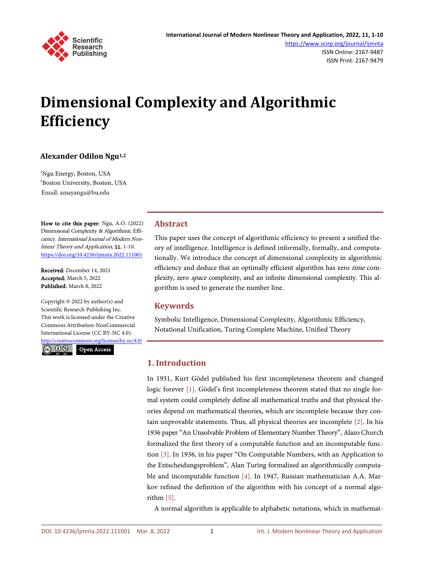

# **Dimensional Complexity and Algorithmic Efficiency**

# **Alexander Odilon Ngu1,2**

<sup>1</sup>Ngu Energy, Boston, USA 2 Boston University, Boston, USA Email: amayangu@bu.edu

How to cite this paper: Ngu, A.O. (2022) Dimensional Complexity & Algorithmic Efficiency. International Journal of Modern Nonlinear Theory and Application, 11, 1-10. <https://doi.org/10.4236/ijmnta.2022.111001>

Received: December 14, 2021 Accepted: March 5, 2022 Published: March 8, 2022

Copyright © 2022 by author(s) and Scientific Research Publishing Inc. This work is licensed under the Creative Commons Attribution-NonCommercial International License (CC BY-NC 4.0). <http://creativecommons.org/licenses/by-nc/4.0/>

ெ 0

Open Access

# **Abstract**

This paper uses the concept of algorithmic efficiency to present a unified theory of intelligence. Intelligence is defined informally, formally, and computationally. We introduce the concept of dimensional complexity in algorithmic efficiency and deduce that an optimally efficient algorithm has zero time complexity, zero space complexity, and an infinite dimensional complexity. This algorithm is used to generate the number line.

## **Keywords**

Symbolic Intelligence, Dimensional Complexity, Algorithmic Efficiency, Notational Unification, Turing Complete Machine, Unified Theory

# **1. Introduction**

In 1931, Kurt Gödel published his first incompleteness theorem and changed logic forever [\[1\].](#page-8-0) Gödel's first incompleteness theorem stated that no single formal system could completely define all mathematical truths and that physical theories depend on mathematical theories, which are incomplete because they contain unprovable statements. Thus, all physical theories are incomplete [\[2\].](#page-8-1) In his 1936 paper "An Unsolvable Problem of Elementary Number Theory", Alazo Church formalized the first theory of a computable function and an incomputable function [\[3\].](#page-8-2) In 1936, in his paper "On Computable Numbers, with an Application to the Entscheidungsproblem", Alan Turing formalized an algorithmically computable and incomputable function [\[4\].](#page-9-0) In 1947, Russian mathematician A.A. Markov refined the definition of the algorithm with his concept of a normal algorith[m \[5\].](#page-9-1) 

A normal algorithm is applicable to alphabetic notations, which in mathemat-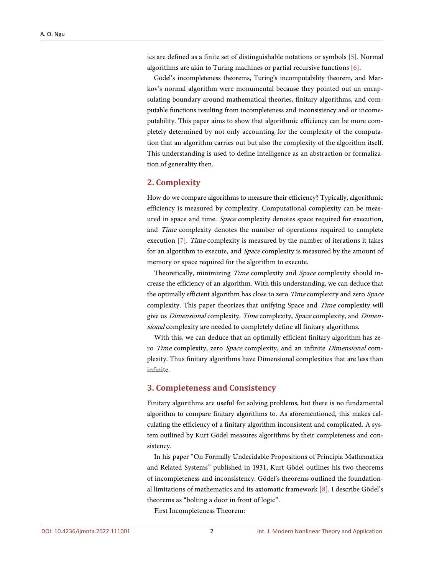ics are defined as a finite set of distinguishable notations or symbols [\[5\].](#page-9-1) Normal algorithms are akin to Turing machines or partial recursive functions [\[6\].](#page-9-2)

Gödel's incompleteness theorems, Turing's incomputability theorem, and Markov's normal algorithm were monumental because they pointed out an encapsulating boundary around mathematical theories, finitary algorithms, and computable functions resulting from incompleteness and inconsistency and or incomeputability. This paper aims to show that algorithmic efficiency can be more completely determined by not only accounting for the complexity of the computation that an algorithm carries out but also the complexity of the algorithm itself. This understanding is used to define intelligence as an abstraction or formalization of generality then.

## **2. Complexity**

How do we compare algorithms to measure their efficiency? Typically, algorithmic efficiency is measured by complexity. Computational complexity can be measured in space and time. Space complexity denotes space required for execution, and Time complexity denotes the number of operations required to complete execution [\[7\].](#page-9-3) Time complexity is measured by the number of iterations it takes for an algorithm to execute, and *Space* complexity is measured by the amount of memory or space required for the algorithm to execute.

Theoretically, minimizing Time complexity and Space complexity should increase the efficiency of an algorithm. With this understanding, we can deduce that the optimally efficient algorithm has close to zero Time complexity and zero Space complexity. This paper theorizes that unifying Space and Time complexity will give us Dimensional complexity. Time complexity, Space complexity, and Dimensional complexity are needed to completely define all finitary algorithms.

With this, we can deduce that an optimally efficient finitary algorithm has zero Time complexity, zero Space complexity, and an infinite Dimensional complexity. Thus finitary algorithms have Dimensional complexities that are less than infinite.

#### **3. Completeness and Consistency**

Finitary algorithms are useful for solving problems, but there is no fundamental algorithm to compare finitary algorithms to. As aforementioned, this makes calculating the efficiency of a finitary algorithm inconsistent and complicated. A system outlined by Kurt Gödel measures algorithms by their completeness and consistency.

In his paper "On Formally Undecidable Propositions of Principia Mathematica and Related Systems" published in 1931, Kurt Gödel outlines his two theorems of incompleteness and inconsistency. Gödel's theorems outlined the foundational limitations of mathematics and its axiomatic framework [\[8\].](#page-9-4) I describe Gödel's theorems as "bolting a door in front of logic".

First Incompleteness Theorem: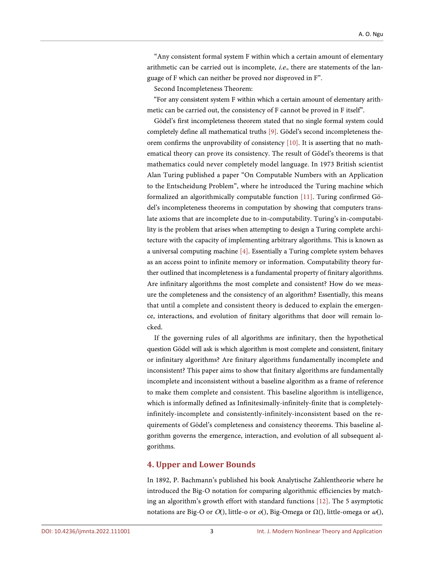"Any consistent formal system F within which a certain amount of elementary arithmetic can be carried out is incomplete, i.e., there are statements of the language of F which can neither be proved nor disproved in F".

Second Incompleteness Theorem:

"For any consistent system F within which a certain amount of elementary arithmetic can be carried out, the consistency of F cannot be proved in F itself".

Gödel's first incompleteness theorem stated that no single formal system could completely define all mathematical truths [\[9\].](#page-9-5) Gödel's second incompleteness theorem confirms the unprovability of consistency [\[10\].](#page-9-6) It is asserting that no mathematical theory can prove its consistency. The result of Gödel's theorems is that mathematics could never completely model language. In 1973 British scientist Alan Turing published a paper "On Computable Numbers with an Application to the Entscheidung Problem", where he introduced the Turing machine which formalized an algorithmically computable function [\[11\].](#page-9-7) Turing confirmed Gödel's incompleteness theorems in computation by showing that computers translate axioms that are incomplete due to in-computability. Turing's in-computability is the problem that arises when attempting to design a Turing complete architecture with the capacity of implementing arbitrary algorithms. This is known as a universal computing machine [\[4\].](#page-9-0) Essentially a Turing complete system behaves as an access point to infinite memory or information. Computability theory further outlined that incompleteness is a fundamental property of finitary algorithms. Are infinitary algorithms the most complete and consistent? How do we measure the completeness and the consistency of an algorithm? Essentially, this means that until a complete and consistent theory is deduced to explain the emergence, interactions, and evolution of finitary algorithms that door will remain locked.

If the governing rules of all algorithms are infinitary, then the hypothetical question Gödel will ask is which algorithm is most complete and consistent, finitary or infinitary algorithms? Are finitary algorithms fundamentally incomplete and inconsistent? This paper aims to show that finitary algorithms are fundamentally incomplete and inconsistent without a baseline algorithm as a frame of reference to make them complete and consistent. This baseline algorithm is intelligence, which is informally defined as Infinitesimally-infinitely-finite that is completelyinfinitely-incomplete and consistently-infinitely-inconsistent based on the requirements of Gödel's completeness and consistency theorems. This baseline algorithm governs the emergence, interaction, and evolution of all subsequent algorithms.

#### **4. Upper and Lower Bounds**

In 1892, P. Bachmann's published his book Analytische Zahlentheorie where he introduced the Big-O notation for comparing algorithmic efficiencies by matching an algorithm's growth effort with standard functions [\[12\].](#page-9-8) The 5 asymptotic notations are Big-O or  $O($ ), little-o or  $o($ ), Big-Omega or  $Ω($ ), little-omega or  $ω($ ),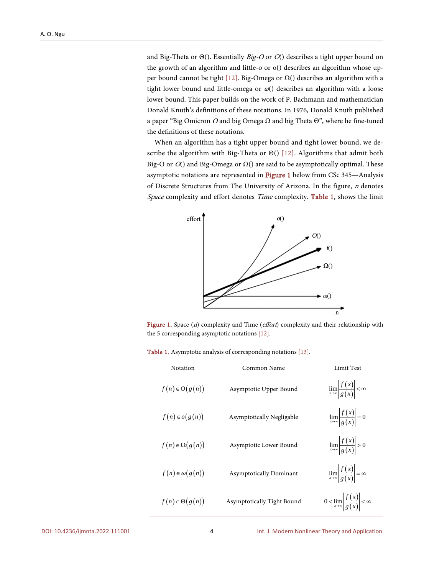and Big-Theta or  $\Theta()$ . Essentially Big-O or O() describes a tight upper bound on the growth of an algorithm and little-o or o() describes an algorithm whose up-per bound cannot be tight [\[12\].](#page-9-8) Big-Omega or  $\Omega$ () describes an algorithm with a tight lower bound and little-omega or  $\omega$ () describes an algorithm with a loose lower bound. This paper builds on the work of P. Bachmann and mathematician Donald Knuth's definitions of these notations. In 1976, Donald Knuth published a paper "Big Omicron O and big Omega Ω and big Theta  $Θ$ ", where he fine-tuned the definitions of these notations.

<span id="page-3-0"></span>When an algorithm has a tight upper bound and tight lower bound, we describe the algorithm with Big-Theta or Θ() [\[12\].](#page-9-8) Algorithms that admit both Big-O or  $O($ ) and Big-Omega or  $\Omega($ ) are said to be asymptotically optimal. These asymptotic notations are represented in [Figure 1](#page-3-0) below from CSc 345—Analysis of Discrete Structures from The University of Arizona. In the figure, <sup>n</sup> denotes Space complexity and effort denotes Time complexity. [Table 1,](#page-3-1) shows the limit



Figure 1. Space (n) complexity and Time (effort) complexity and their relationship with the 5 corresponding asymptotic notations [\[12\].](#page-9-8)

<span id="page-3-1"></span>Table 1. Asymptotic analysis of corresponding notations [\[13\].](#page-9-9)

| Notation                | Common Name                       | Limit Test                                                        |
|-------------------------|-----------------------------------|-------------------------------------------------------------------|
| $f(n) \in O(g(n))$      | Asymptotic Upper Bound            | $\lim_{x\to\infty}\left \frac{f(x)}{g(x)}\right <\infty$          |
| $f(n) \in o(g(n))$      | Asymptotically Negligable         | $\lim_{x\to\infty}\frac{f(x)}{g(x)}=0$                            |
| $f(n) \in \Omega(g(n))$ | Asymptotic Lower Bound            | $\lim_{x\to\infty}\frac{f(x)}{g(x)} > 0$                          |
| $f(n) \in \omega(g(n))$ | <b>Asymptotically Dominant</b>    | $\lim_{x\to\infty}\left \frac{f(x)}{g(x)}\right =\infty$          |
| $f(n) \in \Theta(g(n))$ | <b>Asymptotically Tight Bound</b> | $0 < \lim_{x\to\infty} \left  \frac{f(x)}{g(x)} \right  < \infty$ |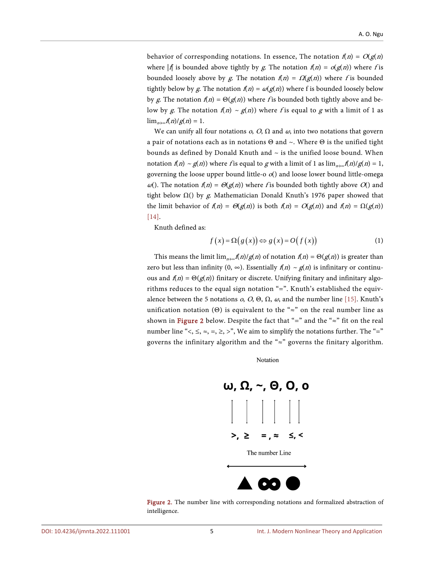behavior of corresponding notations. In essence, The notation  $f(n) = O(g(n))$ where  $|f|$  is bounded above tightly by g. The notation  $f(n) = o(g(n))$  where f is bounded loosely above by g. The notation  $f(n) = \Omega(g(n))$  where f is bounded tightly below by g. The notation  $f(n) = \omega(g(n))$  where f is bounded loosely below by g. The notation  $f(n) = \Theta(g(n))$  where f is bounded both tightly above and below by g. The notation  $f(n) \sim g(n)$ ) where f is equal to g with a limit of 1 as  $\lim_{n\to\infty}$ f(n)/g(n) = 1.

We can unify all four notations  $o$ ,  $O$ ,  $\Omega$  and  $\omega$ , into two notations that govern a pair of notations each as in notations  $\Theta$  and  $\sim$ . Where  $\Theta$  is the unified tight bounds as defined by Donald Knuth and  $\sim$  is the unified loose bound. When notation  $f(n) \sim g(n)$ ) where f is equal to g with a limit of 1 as  $\lim_{n\to\infty} f(n)/g(n) = 1$ , governing the loose upper bound little-o  $o()$  and loose lower bound little-omega  $ω($ ). The notation  $f(n) = Θ(g(n))$  where f is bounded both tightly above  $O($ ) and tight below  $Ω()$  by g. Mathematician Donald Knuth's 1976 paper showed that the limit behavior of  $f(n) = \Theta(g(n))$  is both  $f(n) = \Theta(g(n))$  and  $f(n) = \Omega(g(n))$ [\[14\].](#page-9-10) 

Knuth defined as:

$$
f(x) = \Omega(g(x)) \Leftrightarrow g(x) = O(f(x))
$$
 (1)

<span id="page-4-0"></span>This means the limit  $\lim_{n\to\infty}$   $f(n)/g(n)$  of notation  $f(n) = \Theta(g(n))$  is greater than zero but less than infinity  $(0, \infty)$ . Essentially  $f(n) \sim g(n)$  is infinitary or continuous and  $f(n) = \Theta(g(n))$  finitary or discrete. Unifying finitary and infinitary algorithms reduces to the equal sign notation "=". Knuth's established the equivalence between the 5 notations  $o$ ,  $O$ ,  $\Theta$ ,  $\Omega$ ,  $\omega$ , and the number line [\[15\].](#page-9-11) Knuth's unification notation ( $\Theta$ ) is equivalent to the "≈" on the real number line as shown in [Figure 2](#page-4-0) below. Despite the fact that "=" and the "≈" fit on the real number line "<,  $\leq$ ,  $\leq$ ,  $\leq$ ,  $\geq$ ,  $\geq$ ", We aim to simplify the notations further. The "=" governs the infinitary algorithm and the "≈" governs the finitary algorithm.

Notation



Figure 2. The number line with corresponding notations and formalized abstraction of intelligence.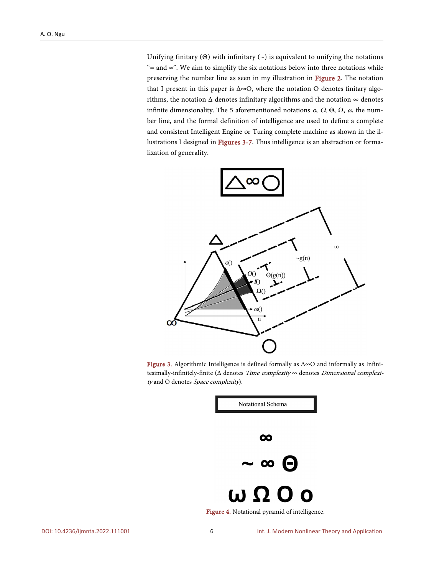Unifying finitary  $(\Theta)$  with infinitary  $(\sim)$  is equivalent to unifying the notations "= and ≈". We aim to simplify the six notations below into three notations while preserving the number line as seen in my illustration in [Figure 2.](#page-4-0) The notation that I present in this paper is ∆∞Ο, where the notation Ο denotes finitary algorithms, the notation ∆ denotes infinitary algorithms and the notation ∞ denotes infinite dimensionality. The 5 aforementioned notations  $o$ ,  $O$ ,  $\Theta$ ,  $\Omega$ ,  $\omega$ , the number line, and the formal definition of intelligence are used to define a complete and consistent Intelligent Engine or Turing complete machine as shown in the illustrations I designed in [Figures](#page-5-0) 3-7. Thus intelligence is an abstraction or formalization of generality.

<span id="page-5-0"></span>

Figure 3. Algorithmic Intelligence is defined formally as ∆∞Ο and informally as Infinitesimally-infinitely-finite (∆ denotes Time complexity ∞ denotes Dimensional complexity and O denotes Space complexity).

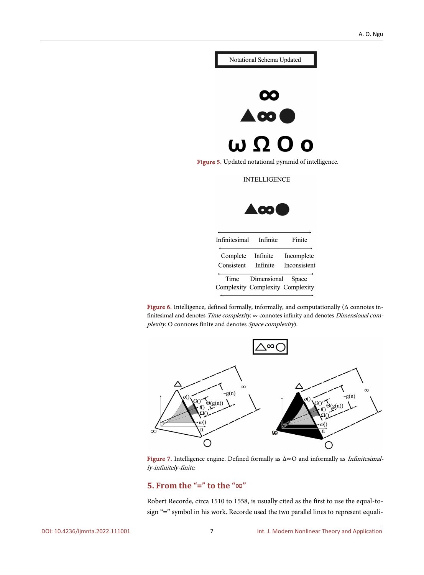

<span id="page-6-0"></span>Figure 6. Intelligence, defined formally, informally, and computationally ( $\Delta$  connotes infinitesimal and denotes Time complexity.  $\infty$  connotes infinity and denotes Dimensional complexity. Ο connotes finite and denotes Space complexity).

<span id="page-6-1"></span>

Figure 7. Intelligence engine. Defined formally as ∆∞Ο and informally as Infinitesimally-infinitely-finite.

# **5. From the "=" to the "∞"**

Robert Recorde, circa 1510 to 1558, is usually cited as the first to use the equal-tosign "=" symbol in his work. Recorde used the two parallel lines to represent equali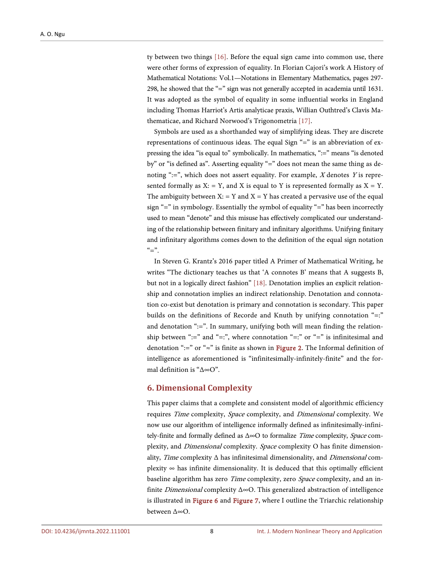ty between two things [\[16\].](#page-9-12) Before the equal sign came into common use, there were other forms of expression of equality. In Florian Cajori's work A History of Mathematical Notations: Vol.1—Notations in Elementary Mathematics, pages 297- 298, he showed that the "=" sign was not generally accepted in academia until 1631. It was adopted as the symbol of equality in some influential works in England including Thomas Harriot's Artis analyticae praxis, Willian Outhtred's Clavis Mathematicae, and Richard Norwood's Trigonometri[a \[17\].](#page-9-13) 

Symbols are used as a shorthanded way of simplifying ideas. They are discrete representations of continuous ideas. The equal Sign "=" is an abbreviation of expressing the idea "is equal to" symbolically. In mathematics, ":=" means "is denoted by" or "is defined as". Asserting equality "=" does not mean the same thing as denoting ":=", which does not assert equality. For example,  $X$  denotes  $Y$  is represented formally as  $X: = Y$ , and X is equal to Y is represented formally as  $X = Y$ . The ambiguity between  $X: = Y$  and  $X = Y$  has created a pervasive use of the equal sign "=" in symbology. Essentially the symbol of equality "=" has been incorrectly used to mean "denote" and this misuse has effectively complicated our understanding of the relationship between finitary and infinitary algorithms. Unifying finitary and infinitary algorithms comes down to the definition of the equal sign notation  $"=""$ .

In Steven G. Krantz's 2016 paper titled A Primer of Mathematical Writing, he writes "The dictionary teaches us that 'A connotes B' means that A suggests B, but not in a logically direct fashion" [\[18\].](#page-9-14) Denotation implies an explicit relationship and connotation implies an indirect relationship. Denotation and connotation co-exist but denotation is primary and connotation is secondary. This paper builds on the definitions of Recorde and Knuth by unifying connotation "=:" and denotation ":=". In summary, unifying both will mean finding the relationship between ":=" and "=:", where connotation "=:" or "=" is infinitesimal and denotation ":=" or "≈" is finite as shown in **Figure 2**. The Informal definition of intelligence as aforementioned is "infinitesimally-infinitely-finite" and the formal definition is "∆∞Ο".

#### **6. Dimensional Complexity**

This paper claims that a complete and consistent model of algorithmic efficiency requires Time complexity, Space complexity, and Dimensional complexity. We now use our algorithm of intelligence informally defined as infinitesimally-infinitely-finite and formally defined as ∆∞O to formalize *Time* complexity, *Space* complexity, and Dimensional complexity. Space complexity Ο has finite dimensionality, Time complexity ∆ has infinitesimal dimensionality, and Dimensional complexity  $\infty$  has infinite dimensionality. It is deduced that this optimally efficient baseline algorithm has zero *Time* complexity, zero *Space* complexity, and an infinite Dimensional complexity ∆∞Ο. This generalized abstraction of intelligence is illustrated i[n Figure 6](#page-6-0) and [Figure 7,](#page-6-1) where I outline the Triarchic relationship between ∆∞Ο.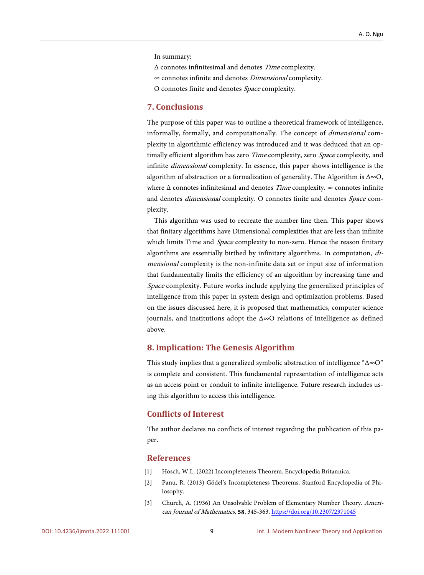In summary:

∆ connotes infinitesimal and denotes Time complexity.

- ∞ connotes infinite and denotes Dimensional complexity.
- Ο connotes finite and denotes Space complexity.

#### **7. Conclusions**

The purpose of this paper was to outline a theoretical framework of intelligence, informally, formally, and computationally. The concept of dimensional complexity in algorithmic efficiency was introduced and it was deduced that an optimally efficient algorithm has zero *Time* complexity, zero *Space* complexity, and infinite dimensional complexity. In essence, this paper shows intelligence is the algorithm of abstraction or a formalization of generality. The Algorithm is ∆∞Ο, where ∆ connotes infinitesimal and denotes *Time* complexity. ∞ connotes infinite and denotes dimensional complexity. Ο connotes finite and denotes Space complexity.

This algorithm was used to recreate the number line then. This paper shows that finitary algorithms have Dimensional complexities that are less than infinite which limits Time and *Space* complexity to non-zero. Hence the reason finitary algorithms are essentially birthed by infinitary algorithms. In computation, dimensional complexity is the non-infinite data set or input size of information that fundamentally limits the efficiency of an algorithm by increasing time and Space complexity. Future works include applying the generalized principles of intelligence from this paper in system design and optimization problems. Based on the issues discussed here, it is proposed that mathematics, computer science journals, and institutions adopt the ∆∞Ο relations of intelligence as defined above.

#### **8. Implication: The Genesis Algorithm**

This study implies that a generalized symbolic abstraction of intelligence "∆∞Ο" is complete and consistent. This fundamental representation of intelligence acts as an access point or conduit to infinite intelligence. Future research includes using this algorithm to access this intelligence.

#### **Conflicts of Interest**

The author declares no conflicts of interest regarding the publication of this paper.

#### **References**

- [1] Hosch, W.L. (2022) Incompleteness Theorem. Encyclopedia Britannica.
- <span id="page-8-1"></span><span id="page-8-0"></span>[2] Panu, R. (2013) Gödel's Incompleteness Theorems. Stanford Encyclopedia of Philosophy.
- <span id="page-8-2"></span>[3] Church, A. (1936) An Unsolvable Problem of Elementary Number Theory. American Journal of Mathematics, 58, 345-363. <https://doi.org/10.2307/2371045>